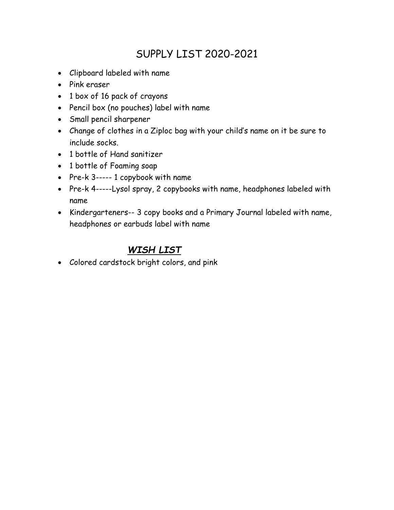## SUPPLY LIST 2020-2021

- Clipboard labeled with name
- Pink eraser
- 1 box of 16 pack of crayons
- Pencil box (no pouches) label with name
- Small pencil sharpener
- Change of clothes in a Ziploc bag with your child's name on it be sure to include socks.
- 1 bottle of Hand sanitizer
- 1 bottle of Foaming soap
- Pre-k 3----- 1 copybook with name
- Pre-k 4-----Lysol spray, 2 copybooks with name, headphones labeled with name
- Kindergarteners-- 3 copy books and a Primary Journal labeled with name, headphones or earbuds label with name

## WISH LIST

Colored cardstock bright colors, and pink